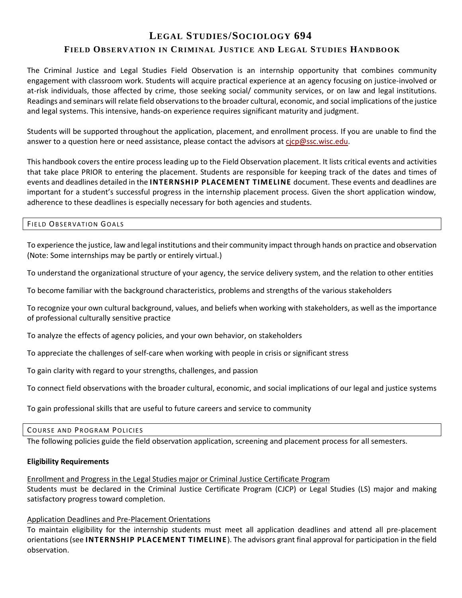# **LEGAL STUDIES/SOCIOLOGY 694 FIELD OBSERVATION IN CRIMINAL JUSTI CE AND LEGAL STUDIES HANDBOOK**

The Criminal Justice and Legal Studies Field Observation is an internship opportunity that combines community engagement with classroom work. Students will acquire practical experience at an agency focusing on justice-involved or at-risk individuals, those affected by crime, those seeking social/ community services, or on law and legal institutions. Readings and seminars will relate field observations to the broader cultural, economic, and social implications of the justice and legal systems. This intensive, hands-on experience requires significant maturity and judgment.

Students will be supported throughout the application, placement, and enrollment process. If you are unable to find the answer to a question here or need assistance, please contact the advisors a[t cjcp@ssc.wisc.edu.](mailto:cjcp@ssc.wisc.edu)

This handbook covers the entire process leading up to the Field Observation placement. It lists critical events and activities that take place PRIOR to entering the placement. Students are responsible for keeping track of the dates and times of events and deadlines detailed in the **INTERNSHIP PLACEMENT TIMELINE** document. These events and deadlines are important for a student's successful progress in the internship placement process. Given the short application window, adherence to these deadlines is especially necessary for both agencies and students.

# FIELD OBSERVATION GOALS

To experience the justice, law and legal institutions and their community impact through hands on practice and observation (Note: Some internships may be partly or entirely virtual.)

To understand the organizational structure of your agency, the service delivery system, and the relation to other entities

To become familiar with the background characteristics, problems and strengths of the various stakeholders

To recognize your own cultural background, values, and beliefs when working with stakeholders, as well as the importance of professional culturally sensitive practice

To analyze the effects of agency policies, and your own behavior, on stakeholders

To appreciate the challenges of self-care when working with people in crisis or significant stress

To gain clarity with regard to your strengths, challenges, and passion

To connect field observations with the broader cultural, economic, and social implications of our legal and justice systems

To gain professional skills that are useful to future careers and service to community

#### COURSE AND PROGRAM POLICIES

The following policies guide the field observation application, screening and placement process for all semesters.

# **Eligibility Requirements**

Enrollment and Progress in the Legal Studies major or Criminal Justice Certificate Program Students must be declared in the Criminal Justice Certificate Program (CJCP) or Legal Studies (LS) major and making satisfactory progress toward completion.

# Application Deadlines and Pre-Placement Orientations

To maintain eligibility for the internship students must meet all application deadlines and attend all pre-placement orientations (see **INTERNSHIP PLACEMENT TIMELINE**). The advisors grant final approval for participation in the field observation.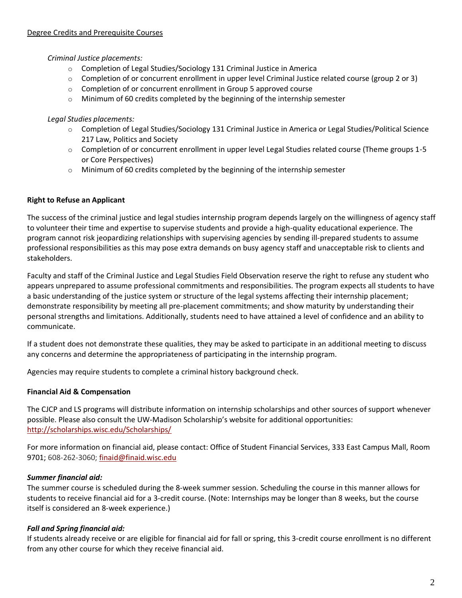# *Criminal Justice placements:*

- o Completion of Legal Studies/Sociology 131 Criminal Justice in America
- $\circ$  Completion of or concurrent enrollment in upper level Criminal Justice related course (group 2 or 3)
- o Completion of or concurrent enrollment in Group 5 approved course
- o Minimum of 60 credits completed by the beginning of the internship semester

# *Legal Studies placements:*

- o Completion of Legal Studies/Sociology 131 Criminal Justice in America or Legal Studies/Political Science 217 Law, Politics and Society
- o Completion of or concurrent enrollment in upper level Legal Studies related course (Theme groups 1-5 or Core Perspectives)
- o Minimum of 60 credits completed by the beginning of the internship semester

# **Right to Refuse an Applicant**

The success of the criminal justice and legal studies internship program depends largely on the willingness of agency staff to volunteer their time and expertise to supervise students and provide a high-quality educational experience. The program cannot risk jeopardizing relationships with supervising agencies by sending ill-prepared students to assume professional responsibilities as this may pose extra demands on busy agency staff and unacceptable risk to clients and stakeholders.

Faculty and staff of the Criminal Justice and Legal Studies Field Observation reserve the right to refuse any student who appears unprepared to assume professional commitments and responsibilities. The program expects all students to have a basic understanding of the justice system or structure of the legal systems affecting their internship placement; demonstrate responsibility by meeting all pre-placement commitments; and show maturity by understanding their personal strengths and limitations. Additionally, students need to have attained a level of confidence and an ability to communicate.

If a student does not demonstrate these qualities, they may be asked to participate in an additional meeting to discuss any concerns and determine the appropriateness of participating in the internship program.

Agencies may require students to complete a criminal history background check.

# **Financial Aid & Compensation**

The CJCP and LS programs will distribute information on internship scholarships and other sources of support whenever possible. Please also consult the UW-Madison Scholarship's website for additional opportunities: <http://scholarships.wisc.edu/Scholarships/>

For more information on financial aid, please contact: Office of Student Financial Services, 333 East Campus Mall, Room 9701; 608-262-3060; [finaid@finaid.wisc.edu](mailto:finaid@finaid.wisc.edu)

# *Summer financial aid:*

The summer course is scheduled during the 8-week summer session. Scheduling the course in this manner allows for students to receive financial aid for a 3-credit course. (Note: Internships may be longer than 8 weeks, but the course itself is considered an 8-week experience.)

# *Fall and Spring financial aid:*

If students already receive or are eligible for financial aid for fall or spring, this 3-credit course enrollment is no different from any other course for which they receive financial aid.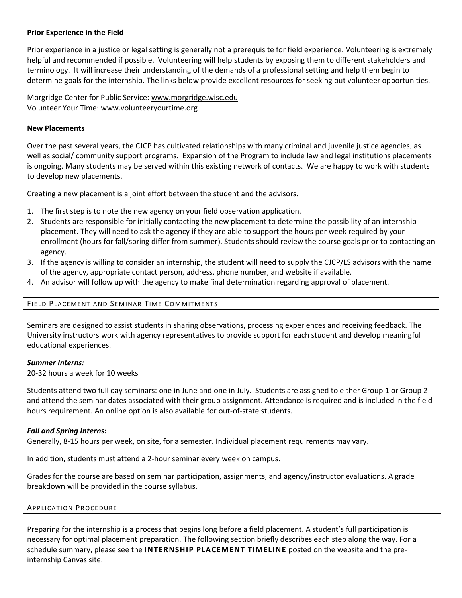# **Prior Experience in the Field**

Prior experience in a justice or legal setting is generally not a prerequisite for field experience. Volunteering is extremely helpful and recommended if possible. Volunteering will help students by exposing them to different stakeholders and terminology. It will increase their understanding of the demands of a professional setting and help them begin to determine goals for the internship. The links below provide excellent resources for seeking out volunteer opportunities.

Morgridge Center for Public Service: [www.morgridge.wisc.edu](http://www.morgridge.wisc.edu/) Volunteer Your Time: [www.volunteeryourtime.org](http://www.volunteeryourtime.org/)

#### **New Placements**

Over the past several years, the CJCP has cultivated relationships with many criminal and juvenile justice agencies, as well as social/ community support programs. Expansion of the Program to include law and legal institutions placements is ongoing. Many students may be served within this existing network of contacts. We are happy to work with students to develop new placements.

Creating a new placement is a joint effort between the student and the advisors.

- 1. The first step is to note the new agency on your field observation application.
- 2. Students are responsible for initially contacting the new placement to determine the possibility of an internship placement. They will need to ask the agency if they are able to support the hours per week required by your enrollment (hours for fall/spring differ from summer). Students should review the course goals prior to contacting an agency.
- 3. If the agency is willing to consider an internship, the student will need to supply the CJCP/LS advisors with the name of the agency, appropriate contact person, address, phone number, and website if available.
- 4. An advisor will follow up with the agency to make final determination regarding approval of placement.

# FIELD PLACEMENT AND SEMINAR TIME COMMITMENTS

Seminars are designed to assist students in sharing observations, processing experiences and receiving feedback. The University instructors work with agency representatives to provide support for each student and develop meaningful educational experiences.

#### *Summer Interns:*

20-32 hours a week for 10 weeks

Students attend two full day seminars: one in June and one in July. Students are assigned to either Group 1 or Group 2 and attend the seminar dates associated with their group assignment. Attendance is required and is included in the field hours requirement. An online option is also available for out-of-state students.

#### *Fall and Spring Interns:*

Generally, 8-15 hours per week, on site, for a semester. Individual placement requirements may vary.

In addition, students must attend a 2-hour seminar every week on campus.

Grades for the course are based on seminar participation, assignments, and agency/instructor evaluations. A grade breakdown will be provided in the course syllabus.

#### **APPLICATION PROCEDURE**

Preparing for the internship is a process that begins long before a field placement. A student's full participation is necessary for optimal placement preparation. The following section briefly describes each step along the way. For a schedule summary, please see the **INTERNSHIP PLACEMENT TIMELINE** posted on the website and the preinternship Canvas site.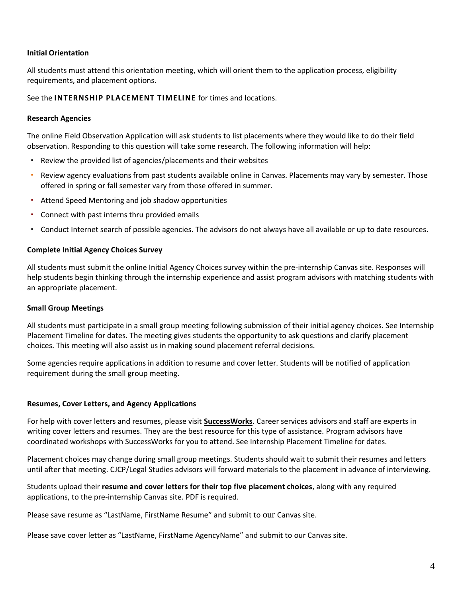# **Initial Orientation**

All students must attend this orientation meeting, which will orient them to the application process, eligibility requirements, and placement options.

See the **INTERNSHIP PLACEMENT TIMELINE** for times and locations.

## **Research Agencies**

The online Field Observation Application will ask students to list placements where they would like to do their field observation. Responding to this question will take some research. The following information will help:

- Review the provided list of agencies/placements and their websites
- Review agency evaluations from past students available online in Canvas. Placements may vary by semester. Those offered in spring or fall semester vary from those offered in summer.
- Attend Speed Mentoring and job shadow opportunities
- Connect with past interns thru provided emails
- Conduct Internet search of possible agencies. The advisors do not always have all available or up to date resources.

#### **Complete Initial Agency Choices Survey**

All students must submit the online Initial Agency Choices survey within the pre-internship Canvas site. Responses will help students begin thinking through the internship experience and assist program advisors with matching students with an appropriate placement.

#### **Small Group Meetings**

All students must participate in a small group meeting following submission of their initial agency choices. See Internship Placement Timeline for dates. The meeting gives students the opportunity to ask questions and clarify placement choices. This meeting will also assist us in making sound placement referral decisions.

Some agencies require applications in addition to resume and cover letter. Students will be notified of application requirement during the small group meeting.

#### **Resumes, Cover Letters, and Agency Applications**

For help with cover letters and resumes, please visit **[SuccessWorks](http://careers.ls.wisc.edu/)**. Career services advisors and staff are experts in writing cover letters and resumes. They are the best resource for this type of assistance. Program advisors have coordinated workshops with SuccessWorks for you to attend. See Internship Placement Timeline for dates.

Placement choices may change during small group meetings. Students should wait to submit their resumes and letters until after that meeting. CJCP/Legal Studies advisors will forward materials to the placement in advance of interviewing.

Students upload their **resume and cover letters for their top five placement choices**, along with any required applications, to the pre-internship Canvas site. PDF is required.

Please save resume as "LastName, FirstName Resume" and submit to our Canvas site.

Please save cover letter as "LastName, FirstName AgencyName" and submit to our Canvas site.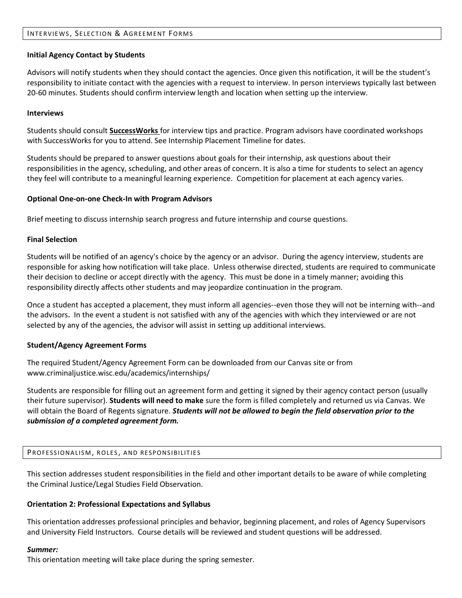# INTERVIEWS, SELECTION & AGREEMENT FORMS

#### **Initial Agency Contact by Students**

Advisors will notify students when they should contact the agencies. Once given this notification, it will be the student's responsibility to initiate contact with the agencies with a request to interview. In person interviews typically last between 20-60 minutes. Students should confirm interview length and location when setting up the interview.

#### **Interviews**

Students should consult **[SuccessWorks](http://careers.ls.wisc.edu/)** for interview tips and practice. Program advisors have coordinated workshops with SuccessWorks for you to attend. See Internship Placement Timeline for dates.

Students should be prepared to answer questions about goals for their internship, ask questions about their responsibilities in the agency, scheduling, and other areas of concern. It is also a time for students to select an agency they feel will contribute to a meaningful learning experience. Competition for placement at each agency varies.

#### **Optional One-on-one Check-In with Program Advisors**

Brief meeting to discuss internship search progress and future internship and course questions.

#### **Final Selection**

Students will be notified of an agency's choice by the agency or an advisor. During the agency interview, students are responsible for asking how notification will take place. Unless otherwise directed, students are required to communicate their decision to decline or accept directly with the agency. This must be done in a timely manner; avoiding this responsibility directly affects other students and may jeopardize continuation in the program.

Once a student has accepted a placement, they must inform all agencies--even those they will not be interning with--and the advisors**.** In the event a student is not satisfied with any of the agencies with which they interviewed or are not selected by any of the agencies, the advisor will assist in setting up additional interviews.

# **Student/Agency Agreement Forms**

The required Student/Agency Agreement Form can be downloaded from our Canvas site or from www.criminaljustice.wisc.edu/academics/internships/

Students are responsible for filling out an agreement form and getting it signed by their agency contact person (usually their future supervisor). **Students will need to make** sure the form is filled completely and returned us via Canvas. We will obtain the Board of Regents signature. *Students will not be allowed to begin the field observation prior to the submission of a completed agreement form.*

# PROFESSIONALISM, ROLES, AND RESPONSIBILITIES

This section addresses student responsibilities in the field and other important details to be aware of while completing the Criminal Justice/Legal Studies Field Observation.

# **Orientation 2: Professional Expectations and Syllabus**

This orientation addresses professional principles and behavior, beginning placement, and roles of Agency Supervisors and University Field Instructors. Course details will be reviewed and student questions will be addressed.

#### *Summer:*

This orientation meeting will take place during the spring semester.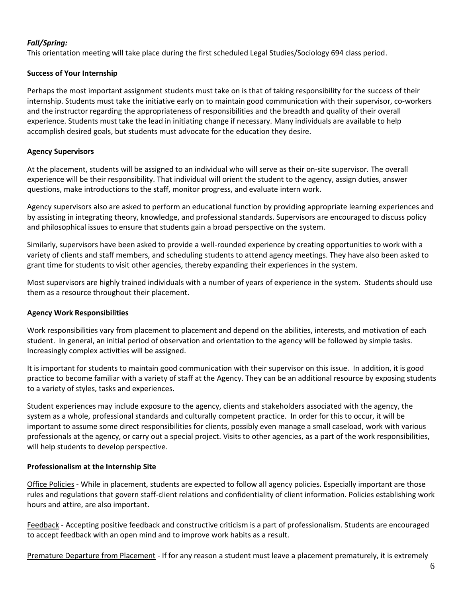# *Fall/Spring:*

This orientation meeting will take place during the first scheduled Legal Studies/Sociology 694 class period.

# **Success of Your Internship**

Perhaps the most important assignment students must take on is that of taking responsibility for the success of their internship. Students must take the initiative early on to maintain good communication with their supervisor, co-workers and the instructor regarding the appropriateness of responsibilities and the breadth and quality of their overall experience. Students must take the lead in initiating change if necessary. Many individuals are available to help accomplish desired goals, but students must advocate for the education they desire.

# **Agency Supervisors**

At the placement, students will be assigned to an individual who will serve as their on-site supervisor. The overall experience will be their responsibility. That individual will orient the student to the agency, assign duties, answer questions, make introductions to the staff, monitor progress, and evaluate intern work.

Agency supervisors also are asked to perform an educational function by providing appropriate learning experiences and by assisting in integrating theory, knowledge, and professional standards. Supervisors are encouraged to discuss policy and philosophical issues to ensure that students gain a broad perspective on the system.

Similarly, supervisors have been asked to provide a well-rounded experience by creating opportunities to work with a variety of clients and staff members, and scheduling students to attend agency meetings. They have also been asked to grant time for students to visit other agencies, thereby expanding their experiences in the system.

Most supervisors are highly trained individuals with a number of years of experience in the system. Students should use them as a resource throughout their placement.

# **Agency Work Responsibilities**

Work responsibilities vary from placement to placement and depend on the abilities, interests, and motivation of each student. In general, an initial period of observation and orientation to the agency will be followed by simple tasks. Increasingly complex activities will be assigned.

It is important for students to maintain good communication with their supervisor on this issue. In addition, it is good practice to become familiar with a variety of staff at the Agency. They can be an additional resource by exposing students to a variety of styles, tasks and experiences.

Student experiences may include exposure to the agency, clients and stakeholders associated with the agency, the system as a whole, professional standards and culturally competent practice. In order for this to occur, it will be important to assume some direct responsibilities for clients, possibly even manage a small caseload, work with various professionals at the agency, or carry out a special project. Visits to other agencies, as a part of the work responsibilities, will help students to develop perspective.

# **Professionalism at the Internship Site**

Office Policies - While in placement, students are expected to follow all agency policies. Especially important are those rules and regulations that govern staff-client relations and confidentiality of client information. Policies establishing work hours and attire, are also important.

Feedback - Accepting positive feedback and constructive criticism is a part of professionalism. Students are encouraged to accept feedback with an open mind and to improve work habits as a result.

Premature Departure from Placement - If for any reason a student must leave a placement prematurely, it is extremely